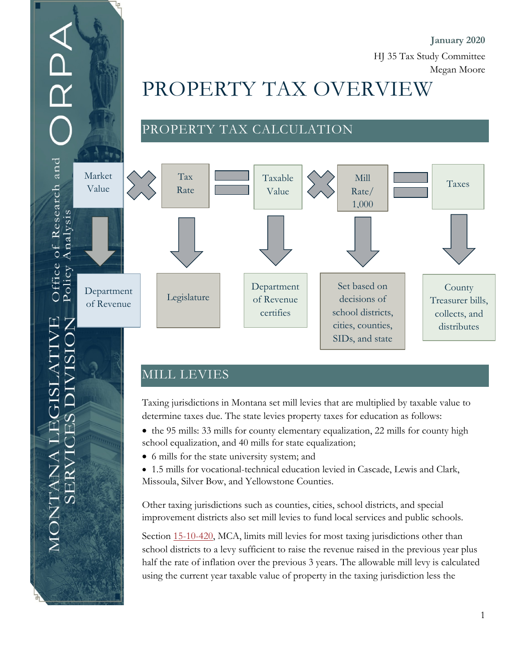### **January 2020** HJ 35 Tax Study Committee

Megan Moore

# PROPERTY TAX OVERVIEW

# PROPERTY TAX CALCULATION



## MILL LEVIES

of Research and

Office Policy

ANTANA

Analysis

Taxing jurisdictions in Montana set mill levies that are multiplied by taxable value to determine taxes due. The state levies property taxes for education as follows:

- the 95 mills: 33 mills for county elementary equalization, 22 mills for county high school equalization, and 40 mills for state equalization;
- 6 mills for the state university system; and
- 1.5 mills for vocational-technical education levied in Cascade, Lewis and Clark, Missoula, Silver Bow, and Yellowstone Counties.

Other taxing jurisdictions such as counties, cities, school districts, and special improvement districts also set mill levies to fund local services and public schools.

Section [15-10-420,](https://leg.mt.gov/bills/mca/title_0150/chapter_0100/part_0040/section_0200/0150-0100-0040-0200.html) MCA, limits mill levies for most taxing jurisdictions other than school districts to a levy sufficient to raise the revenue raised in the previous year plus half the rate of inflation over the previous 3 years. The allowable mill levy is calculated using the current year taxable value of property in the taxing jurisdiction less the

1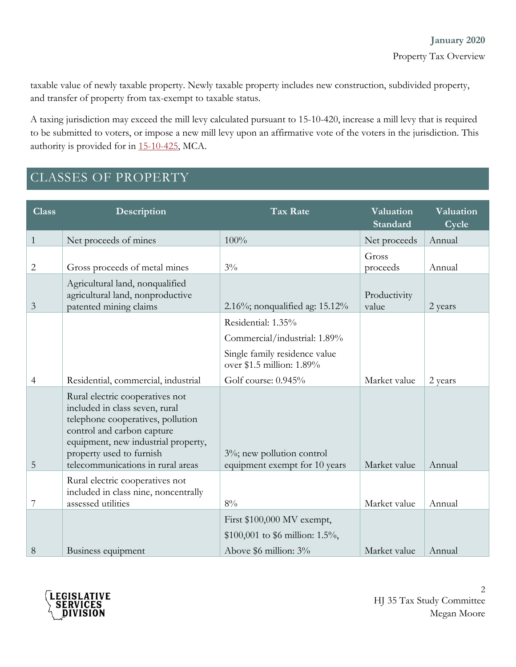taxable value of newly taxable property. Newly taxable property includes new construction, subdivided property, and transfer of property from tax-exempt to taxable status.

A taxing jurisdiction may exceed the mill levy calculated pursuant to 15-10-420, increase a mill levy that is required to be submitted to voters, or impose a new mill levy upon an affirmative vote of the voters in the jurisdiction. This authority is provided for in [15-10-425,](https://leg.mt.gov/bills/mca/title_0150/chapter_0100/part_0040/section_0250/0150-0100-0040-0250.html) MCA.

# CLASSES OF PROPERTY

| <b>Class</b>   | Description                                                                                                                                                                                                                                  | <b>Tax Rate</b>                                                                        | Valuation<br>Standard | Valuation<br>Cycle |
|----------------|----------------------------------------------------------------------------------------------------------------------------------------------------------------------------------------------------------------------------------------------|----------------------------------------------------------------------------------------|-----------------------|--------------------|
| $\mathbf{1}$   | Net proceeds of mines                                                                                                                                                                                                                        | 100%                                                                                   | Net proceeds          | Annual             |
| 2              | Gross proceeds of metal mines                                                                                                                                                                                                                | $3\%$                                                                                  | Gross<br>proceeds     | Annual             |
| 3              | Agricultural land, nonqualified<br>agricultural land, nonproductive<br>patented mining claims                                                                                                                                                | 2.16%; nonqualified ag: $15.12\%$                                                      | Productivity<br>value | 2 years            |
|                |                                                                                                                                                                                                                                              | Residential: 1.35%                                                                     |                       |                    |
|                |                                                                                                                                                                                                                                              | Commercial/industrial: 1.89%                                                           |                       |                    |
|                |                                                                                                                                                                                                                                              | Single family residence value<br>over \$1.5 million: 1.89%                             |                       |                    |
| $\overline{4}$ | Residential, commercial, industrial                                                                                                                                                                                                          | Golf course: $0.945%$                                                                  | Market value          | 2 years            |
| 5              | Rural electric cooperatives not<br>included in class seven, rural<br>telephone cooperatives, pollution<br>control and carbon capture<br>equipment, new industrial property,<br>property used to furnish<br>telecommunications in rural areas | $3\%$ ; new pollution control<br>equipment exempt for 10 years                         | Market value          | Annual             |
| 7              | Rural electric cooperatives not<br>included in class nine, noncentrally<br>assessed utilities                                                                                                                                                | 8%                                                                                     | Market value          | Annual             |
| 8              | Business equipment                                                                                                                                                                                                                           | First \$100,000 MV exempt,<br>\$100,001 to \$6 million: 1.5%,<br>Above \$6 million: 3% | Market value          | Annual             |

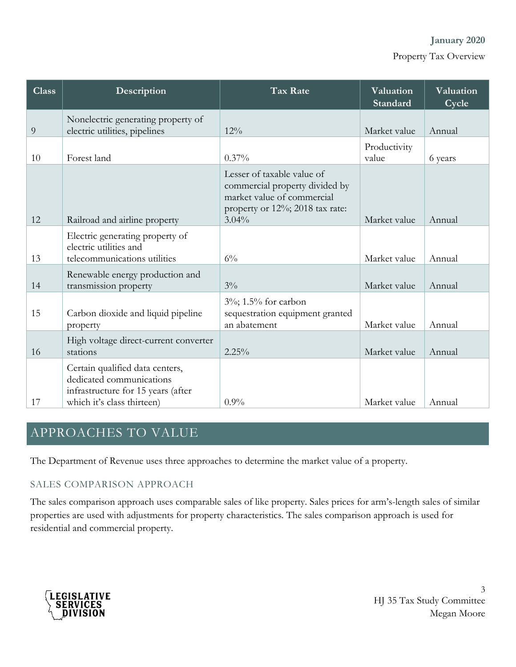**January 2020**

Property Tax Overview

| <b>Class</b> | Description                                                                                                                     | <b>Tax Rate</b>                                                                                                                           | Valuation<br>Standard | Valuation<br>Cycle |
|--------------|---------------------------------------------------------------------------------------------------------------------------------|-------------------------------------------------------------------------------------------------------------------------------------------|-----------------------|--------------------|
| 9            | Nonelectric generating property of<br>electric utilities, pipelines                                                             | 12%                                                                                                                                       | Market value          | Annual             |
| 10           | Forest land                                                                                                                     | $0.37\%$                                                                                                                                  | Productivity<br>value | 6 years            |
| 12           | Railroad and airline property                                                                                                   | Lesser of taxable value of<br>commercial property divided by<br>market value of commercial<br>property or 12%; 2018 tax rate:<br>$3.04\%$ | Market value          | Annual             |
| 13           | Electric generating property of<br>electric utilities and<br>telecommunications utilities                                       | $6\%$                                                                                                                                     | Market value          | Annual             |
| 14           | Renewable energy production and<br>transmission property                                                                        | $3\%$                                                                                                                                     | Market value          | Annual             |
| 15           | Carbon dioxide and liquid pipeline<br>property                                                                                  | 3%; 1.5% for carbon<br>sequestration equipment granted<br>an abatement                                                                    | Market value          | Annual             |
| 16           | High voltage direct-current converter<br>stations                                                                               | 2.25%                                                                                                                                     | Market value          | Annual             |
| 17           | Certain qualified data centers,<br>dedicated communications<br>infrastructure for 15 years (after<br>which it's class thirteen) | $0.9\%$                                                                                                                                   | Market value          | Annual             |

# APPROACHES TO VALUE

The Department of Revenue uses three approaches to determine the market value of a property.

#### SALES COMPARISON APPROACH

The sales comparison approach uses comparable sales of like property. Sales prices for arm's-length sales of similar properties are used with adjustments for property characteristics. The sales comparison approach is used for residential and commercial property.



3 HJ 35 Tax Study Committee Megan Moore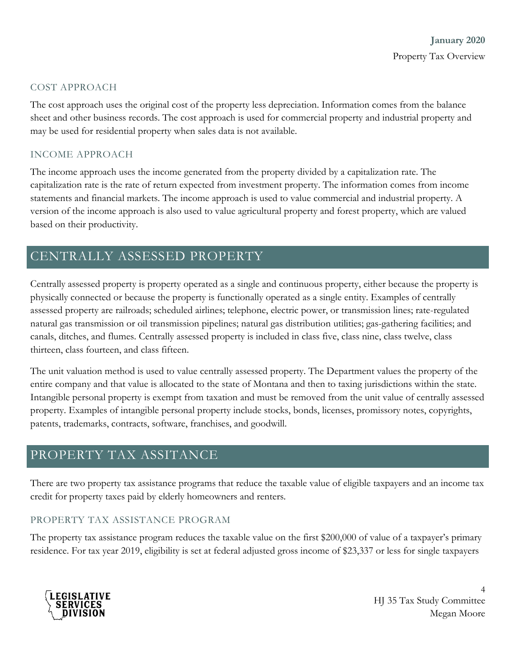#### COST APPROACH

The cost approach uses the original cost of the property less depreciation. Information comes from the balance sheet and other business records. The cost approach is used for commercial property and industrial property and may be used for residential property when sales data is not available.

#### INCOME APPROACH

The income approach uses the income generated from the property divided by a capitalization rate. The capitalization rate is the rate of return expected from investment property. The information comes from income statements and financial markets. The income approach is used to value commercial and industrial property. A version of the income approach is also used to value agricultural property and forest property, which are valued based on their productivity.

## CENTRALLY ASSESSED PROPERTY

Centrally assessed property is property operated as a single and continuous property, either because the property is physically connected or because the property is functionally operated as a single entity. Examples of centrally assessed property are railroads; scheduled airlines; telephone, electric power, or transmission lines; rate-regulated natural gas transmission or oil transmission pipelines; natural gas distribution utilities; gas-gathering facilities; and canals, ditches, and flumes. Centrally assessed property is included in class five, class nine, class twelve, class thirteen, class fourteen, and class fifteen.

The unit valuation method is used to value centrally assessed property. The Department values the property of the entire company and that value is allocated to the state of Montana and then to taxing jurisdictions within the state. Intangible personal property is exempt from taxation and must be removed from the unit value of centrally assessed property. Examples of intangible personal property include stocks, bonds, licenses, promissory notes, copyrights, patents, trademarks, contracts, software, franchises, and goodwill.

## PROPERTY TAX ASSITANCE

There are two property tax assistance programs that reduce the taxable value of eligible taxpayers and an income tax credit for property taxes paid by elderly homeowners and renters.

#### PROPERTY TAX ASSISTANCE PROGRAM

The property tax assistance program reduces the taxable value on the first \$200,000 of value of a taxpayer's primary residence. For tax year 2019, eligibility is set at federal adjusted gross income of \$23,337 or less for single taxpayers



4 HJ 35 Tax Study Committee Megan Moore